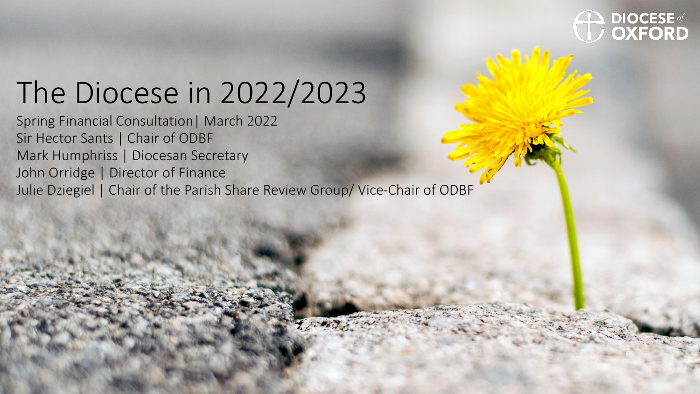## **DIOCESE** of **OXFORD**

### The Diocese in 2022/2023

Spring Financial Consultation| March 2022 Sir Hector Sants | Chair of ODBF Mark Humphriss | Diocesan Secretary John Orridge | Director of Finance Julie Dziegiel | Chair of the Parish Share Review Group/ Vice-Chair of ODBF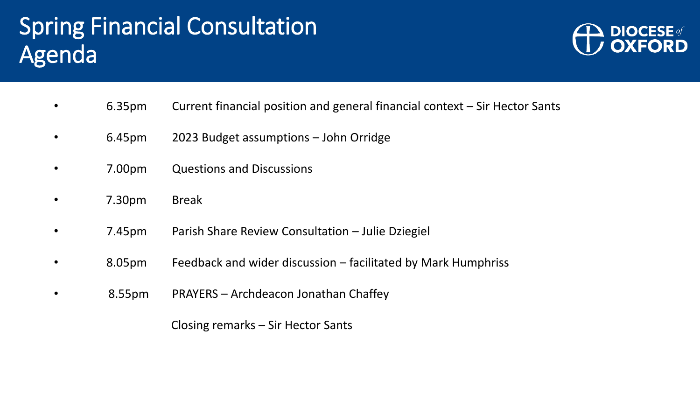### Spring Financial Consultation Agenda



- 6.35pm Current financial position and general financial context Sir Hector Sants
- 6.45pm 2023 Budget assumptions John Orridge
- 7.00pm Questions and Discussions
- 7.30pm Break
- 7.45pm Parish Share Review Consultation Julie Dziegiel
- 8.05pm Feedback and wider discussion facilitated by Mark Humphriss
- 8.55pm PRAYERS Archdeacon Jonathan Chaffey

Closing remarks – Sir Hector Sants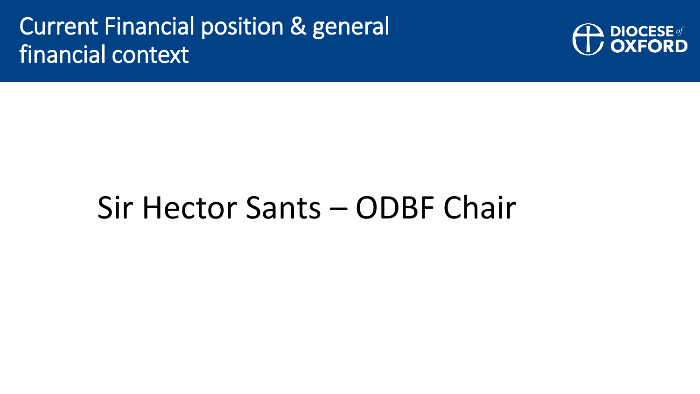### Current Financial position & general financial context



## Sir Hector Sants – ODBF Chair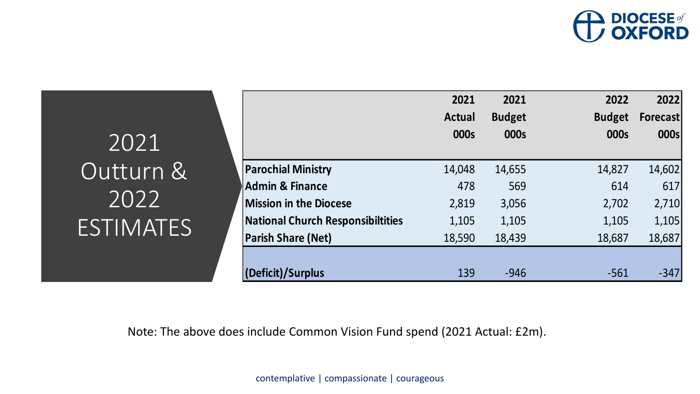

|                                          | 2021<br><b>Actual</b> | 2021<br><b>Budget</b> | 2022<br><b>Budget</b> | 20221<br><b>Forecast</b> |
|------------------------------------------|-----------------------|-----------------------|-----------------------|--------------------------|
|                                          | 000s                  | 000s                  | 000s                  | 000s                     |
| <b>Parochial Ministry</b>                | 14,048                | 14,655                | 14,827                | 14,602                   |
| <b>Admin &amp; Finance</b>               | 478                   | 569                   | 614                   | 617                      |
| <b>Mission in the Diocese</b>            | 2,819                 | 3,056                 | 2,702                 | 2,710                    |
| <b>National Church Responsibiltities</b> | 1,105                 | 1,105                 | 1,105                 | 1,105                    |
| <b>Parish Share (Net)</b>                | 18,590                | 18,439                | 18,687                | 18,687                   |
|                                          |                       |                       |                       |                          |
| Deficit)/Surplus                         | 139                   | $-946$                | $-561$                | $-347$                   |

2021 Outturn & 2022 ESTIMATES

Note: The above does include Common Vision Fund spend (2021 Actual: £2m).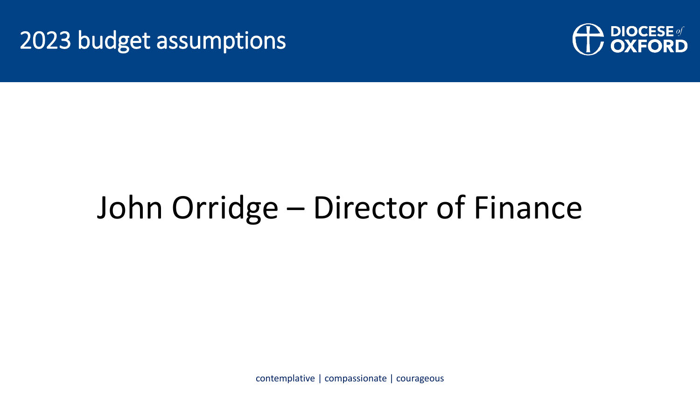#### 2023 budget assumptions



# John Orridge – Director of Finance

contemplative | compassionate | courageous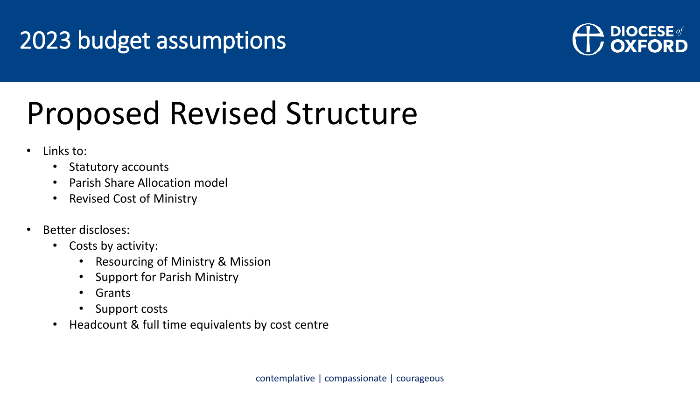### 2023 budget assumptions



## Proposed Revised Structure

- Links to:
	- Statutory accounts
	- Parish Share Allocation model
	- Revised Cost of Ministry
- Better discloses:
	- Costs by activity:
		- Resourcing of Ministry & Mission
		- Support for Parish Ministry
		- Grants
		- Support costs
	- Headcount & full time equivalents by cost centre